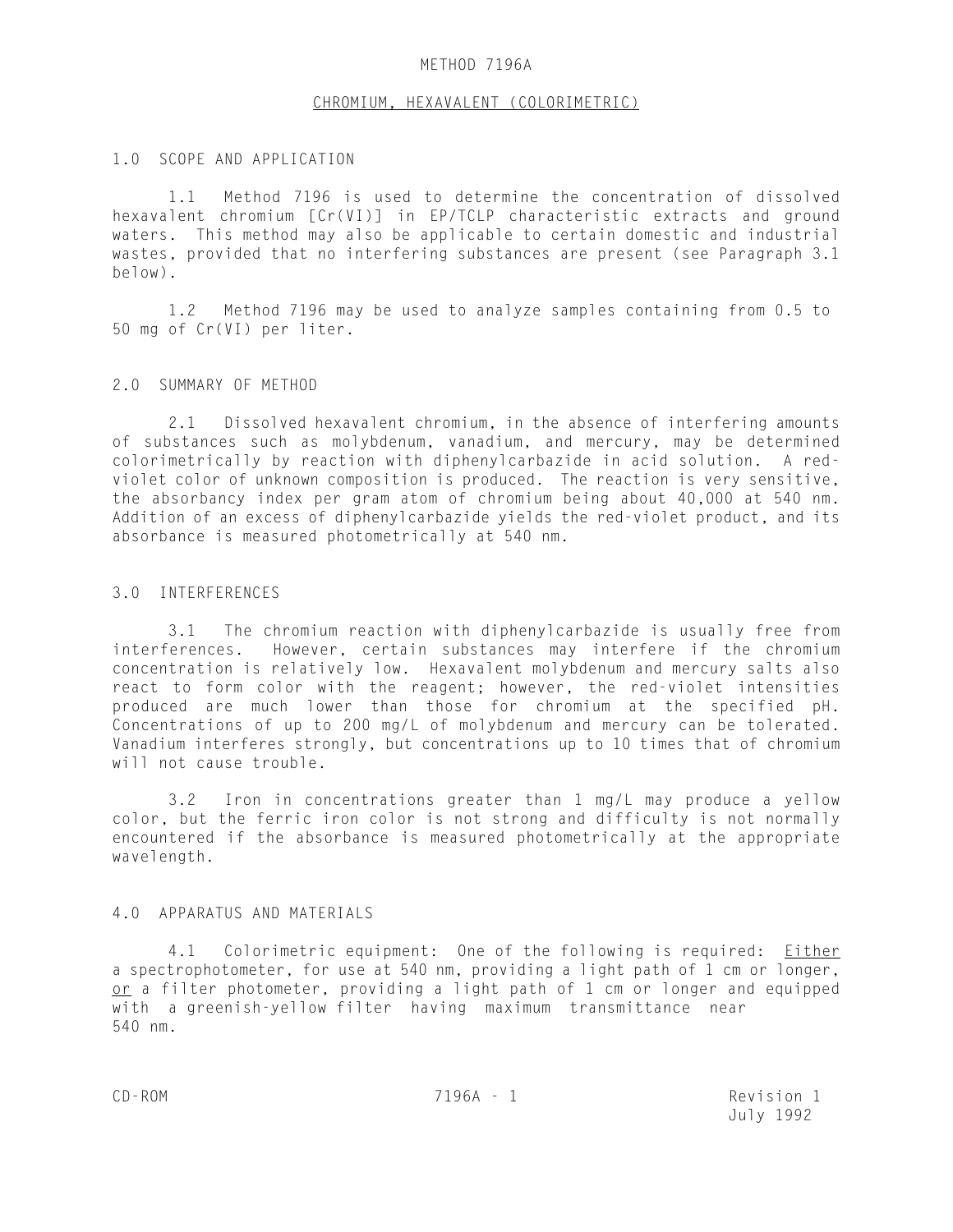# METHOD 7196A

### CHROMIUM, HEXAVALENT (COLORIMETRIC)

# 1.0 SCOPE AND APPLICATION

1.1 Method 7196 is used to determine the concentration of dissolved hexavalent chromium [Cr(VI)] in EP/TCLP characteristic extracts and ground waters. This method may also be applicable to certain domestic and industrial wastes, provided that no interfering substances are present (see Paragraph 3.1 below).

1.2 Method 7196 may be used to analyze samples containing from 0.5 to 50 mg of Cr(VI) per liter.

# 2.0 SUMMARY OF METHOD

2.1 Dissolved hexavalent chromium, in the absence of interfering amounts of substances such as molybdenum, vanadium, and mercury, may be determined colorimetrically by reaction with diphenylcarbazide in acid solution. A redviolet color of unknown composition is produced. The reaction is very sensitive, the absorbancy index per gram atom of chromium being about 40,000 at 540 nm. Addition of an excess of diphenylcarbazide yields the red-violet product, and its absorbance is measured photometrically at 540 nm.

## 3.0 INTERFERENCES

3.1 The chromium reaction with diphenylcarbazide is usually free from interferences. However, certain substances may interfere if the chromium concentration is relatively low. Hexavalent molybdenum and mercury salts also react to form color with the reagent; however, the red-violet intensities produced are much lower than those for chromium at the specified pH. Concentrations of up to 200 mg/L of molybdenum and mercury can be tolerated. Vanadium interferes strongly, but concentrations up to 10 times that of chromium will not cause trouble.

3.2 Iron in concentrations greater than 1 mg/L may produce a yellow color, but the ferric iron color is not strong and difficulty is not normally encountered if the absorbance is measured photometrically at the appropriate wavelength.

#### 4.0 APPARATUS AND MATERIALS

4.1 Colorimetric equipment: One of the following is required: Either a spectrophotometer, for use at 540 nm, providing a light path of 1 cm or longer, or a filter photometer, providing a light path of 1 cm or longer and equipped with a greenish-yellow filter having maximum transmittance near 540 nm.

CD-ROM 7196A - 1 Revision 1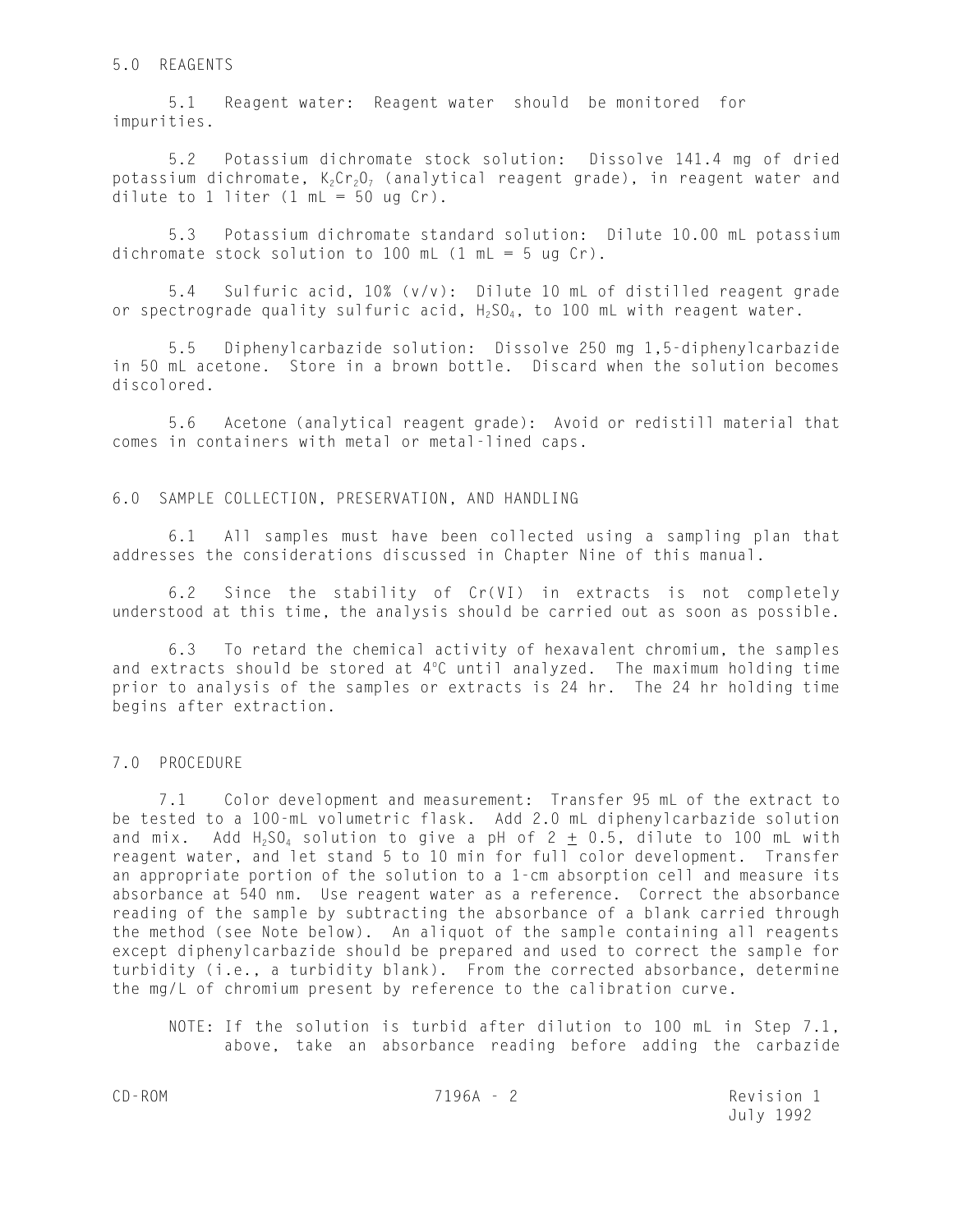# 5.0 REAGENTS

5.1 Reagent water: Reagent water should be monitored for impurities.

5.2 Potassium dichromate stock solution: Dissolve 141.4 mg of dried potassium dichromate,  $K_2Cr_2O_7$  (analytical reagent grade), in reagent water and dilute to  $1$  liter ( $1$  mL =  $50$  ug Cr).

5.3 Potassium dichromate standard solution: Dilute 10.00 mL potassium dichromate stock solution to 100 mL  $(1 \text{ mL} = 5 \text{ ug Cr})$ .

5.4 Sulfuric acid, 10% (v/v): Dilute 10 mL of distilled reagent grade or spectrograde quality sulfuric acid,  $H_2SO_4$ , to 100 mL with reagent water.

5.5 Diphenylcarbazide solution: Dissolve 250 mg 1,5-diphenylcarbazide in 50 mL acetone. Store in a brown bottle. Discard when the solution becomes discolored.

5.6 Acetone (analytical reagent grade): Avoid or redistill material that comes in containers with metal or metal-lined caps.

#### 6.0 SAMPLE COLLECTION, PRESERVATION, AND HANDLING

6.1 All samples must have been collected using a sampling plan that addresses the considerations discussed in Chapter Nine of this manual.

6.2 Since the stability of Cr(VI) in extracts is not completely understood at this time, the analysis should be carried out as soon as possible.

6.3 To retard the chemical activity of hexavalent chromium, the samples and extracts should be stored at  $4^{\circ}$ C until analyzed. The maximum holding time prior to analysis of the samples or extracts is 24 hr. The 24 hr holding time begins after extraction.

# 7.0 PROCEDURE

 7.1 Color development and measurement: Transfer 95 mL of the extract to be tested to a 100-mL volumetric flask. Add 2.0 mL diphenylcarbazide solution and mix. Add  $H_2SO_4$  solution to give a pH of 2  $\pm$  0.5, dilute to 100 mL with reagent water, and let stand 5 to 10 min for full color development. Transfer an appropriate portion of the solution to a 1-cm absorption cell and measure its absorbance at 540 nm. Use reagent water as a reference. Correct the absorbance reading of the sample by subtracting the absorbance of a blank carried through the method (see Note below). An aliquot of the sample containing all reagents except diphenylcarbazide should be prepared and used to correct the sample for turbidity (i.e., a turbidity blank). From the corrected absorbance, determine the mg/L of chromium present by reference to the calibration curve.

NOTE: If the solution is turbid after dilution to 100 mL in Step 7.1, above, take an absorbance reading before adding the carbazide

CD-ROM 7196A - 2 Revision 1 July 1992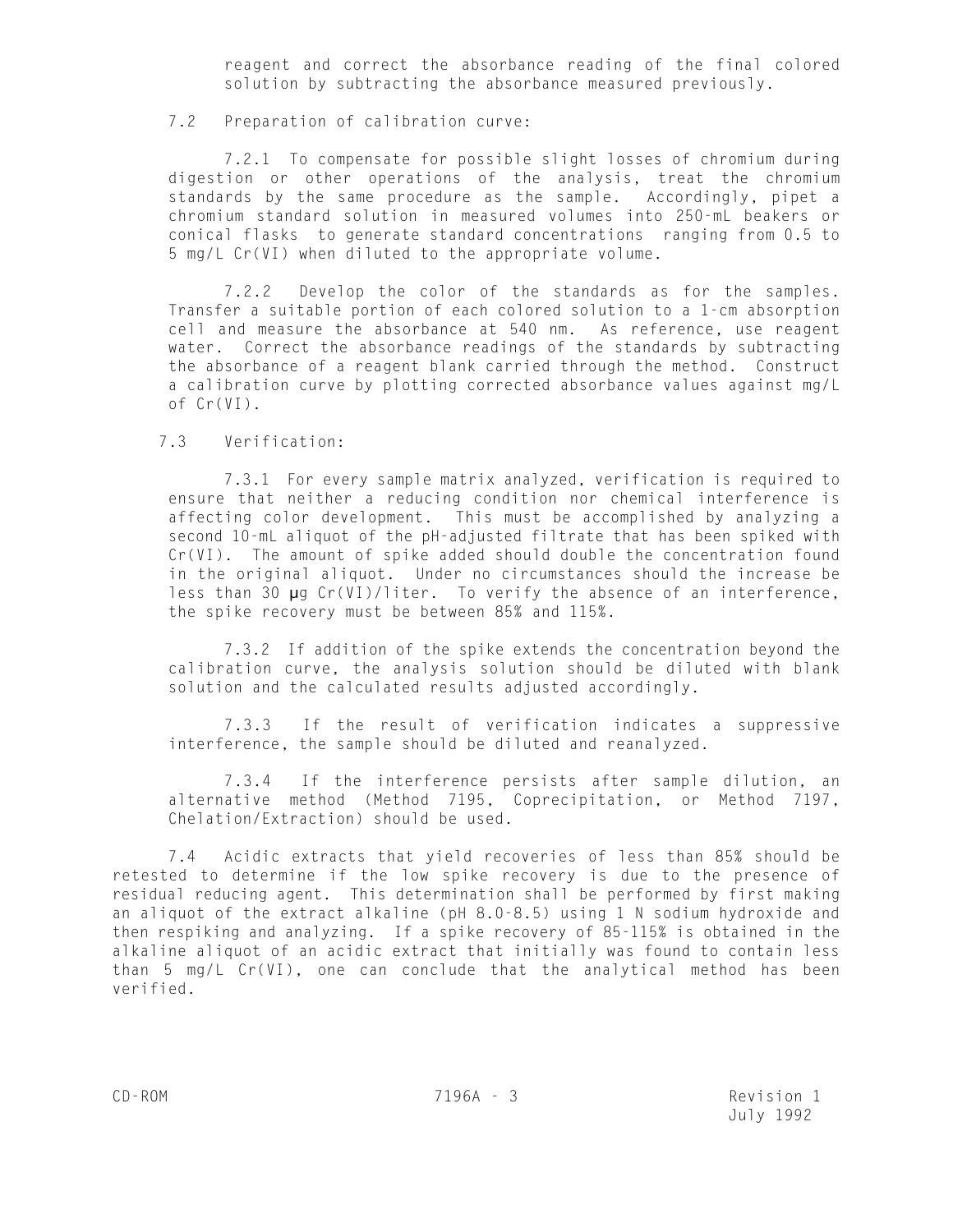reagent and correct the absorbance reading of the final colored solution by subtracting the absorbance measured previously.

# 7.2 Preparation of calibration curve:

 7.2.1 To compensate for possible slight losses of chromium during digestion or other operations of the analysis, treat the chromium standards by the same procedure as the sample. Accordingly, pipet a chromium standard solution in measured volumes into 250-mL beakers or conical flasks to generate standard concentrations ranging from 0.5 to 5 mg/L Cr(VI) when diluted to the appropriate volume.

7.2.2 Develop the color of the standards as for the samples. Transfer a suitable portion of each colored solution to a 1-cm absorption cell and measure the absorbance at 540 nm. As reference, use reagent water. Correct the absorbance readings of the standards by subtracting the absorbance of a reagent blank carried through the method. Construct a calibration curve by plotting corrected absorbance values against mg/L of Cr(VI).

# 7.3 Verification:

7.3.1 For every sample matrix analyzed, verification is required to ensure that neither a reducing condition nor chemical interference is affecting color development. This must be accomplished by analyzing a second 10-mL aliquot of the pH-adjusted filtrate that has been spiked with Cr(VI). The amount of spike added should double the concentration found in the original aliquot. Under no circumstances should the increase be less than 30 µg Cr(VI)/liter. To verify the absence of an interference, the spike recovery must be between 85% and 115%.

7.3.2 If addition of the spike extends the concentration beyond the calibration curve, the analysis solution should be diluted with blank solution and the calculated results adjusted accordingly.

7.3.3 If the result of verification indicates a suppressive interference, the sample should be diluted and reanalyzed.

7.3.4 If the interference persists after sample dilution, an alternative method (Method 7195, Coprecipitation, or Method 7197, Chelation/Extraction) should be used.

7.4 Acidic extracts that yield recoveries of less than 85% should be retested to determine if the low spike recovery is due to the presence of residual reducing agent. This determination shall be performed by first making an aliquot of the extract alkaline (pH 8.0-8.5) using 1 N sodium hydroxide and then respiking and analyzing. If a spike recovery of 85-115% is obtained in the alkaline aliquot of an acidic extract that initially was found to contain less than 5 mg/L Cr(VI), one can conclude that the analytical method has been verified.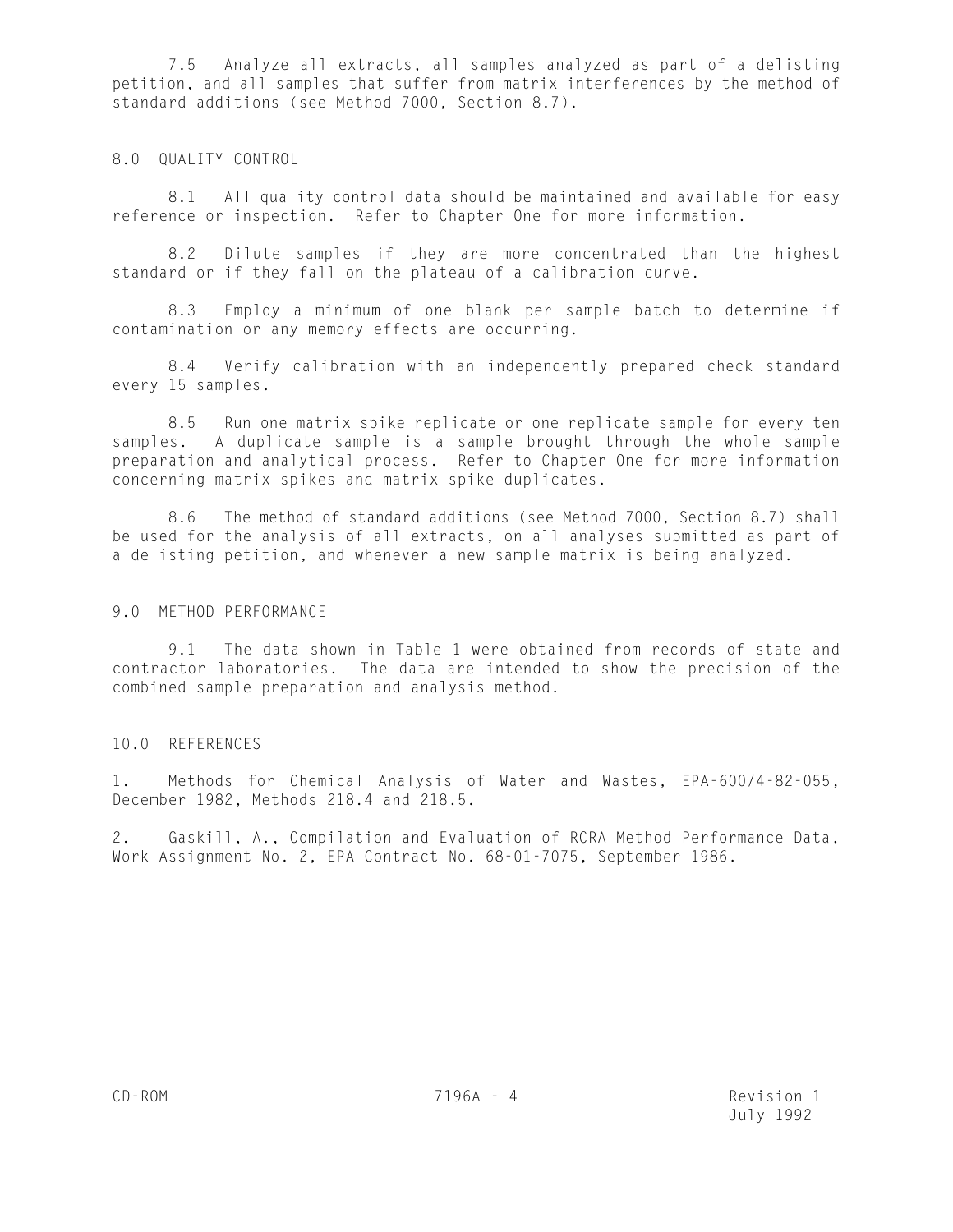7.5 Analyze all extracts, all samples analyzed as part of a delisting petition, and all samples that suffer from matrix interferences by the method of standard additions (see Method 7000, Section 8.7).

# 8.0 QUALITY CONTROL

8.1 All quality control data should be maintained and available for easy reference or inspection. Refer to Chapter One for more information.

8.2 Dilute samples if they are more concentrated than the highest standard or if they fall on the plateau of a calibration curve.

8.3 Employ a minimum of one blank per sample batch to determine if contamination or any memory effects are occurring.

8.4 Verify calibration with an independently prepared check standard every 15 samples.

8.5 Run one matrix spike replicate or one replicate sample for every ten samples. A duplicate sample is a sample brought through the whole sample preparation and analytical process. Refer to Chapter One for more information concerning matrix spikes and matrix spike duplicates.

8.6 The method of standard additions (see Method 7000, Section 8.7) shall be used for the analysis of all extracts, on all analyses submitted as part of a delisting petition, and whenever a new sample matrix is being analyzed.

# 9.0 METHOD PERFORMANCE

9.1 The data shown in Table 1 were obtained from records of state and contractor laboratories. The data are intended to show the precision of the combined sample preparation and analysis method.

# 10.0 REFERENCES

1. Methods for Chemical Analysis of Water and Wastes, EPA-600/4-82-055, December 1982, Methods 218.4 and 218.5.

2. Gaskill, A., Compilation and Evaluation of RCRA Method Performance Data, Work Assignment No. 2, EPA Contract No. 68-01-7075, September 1986.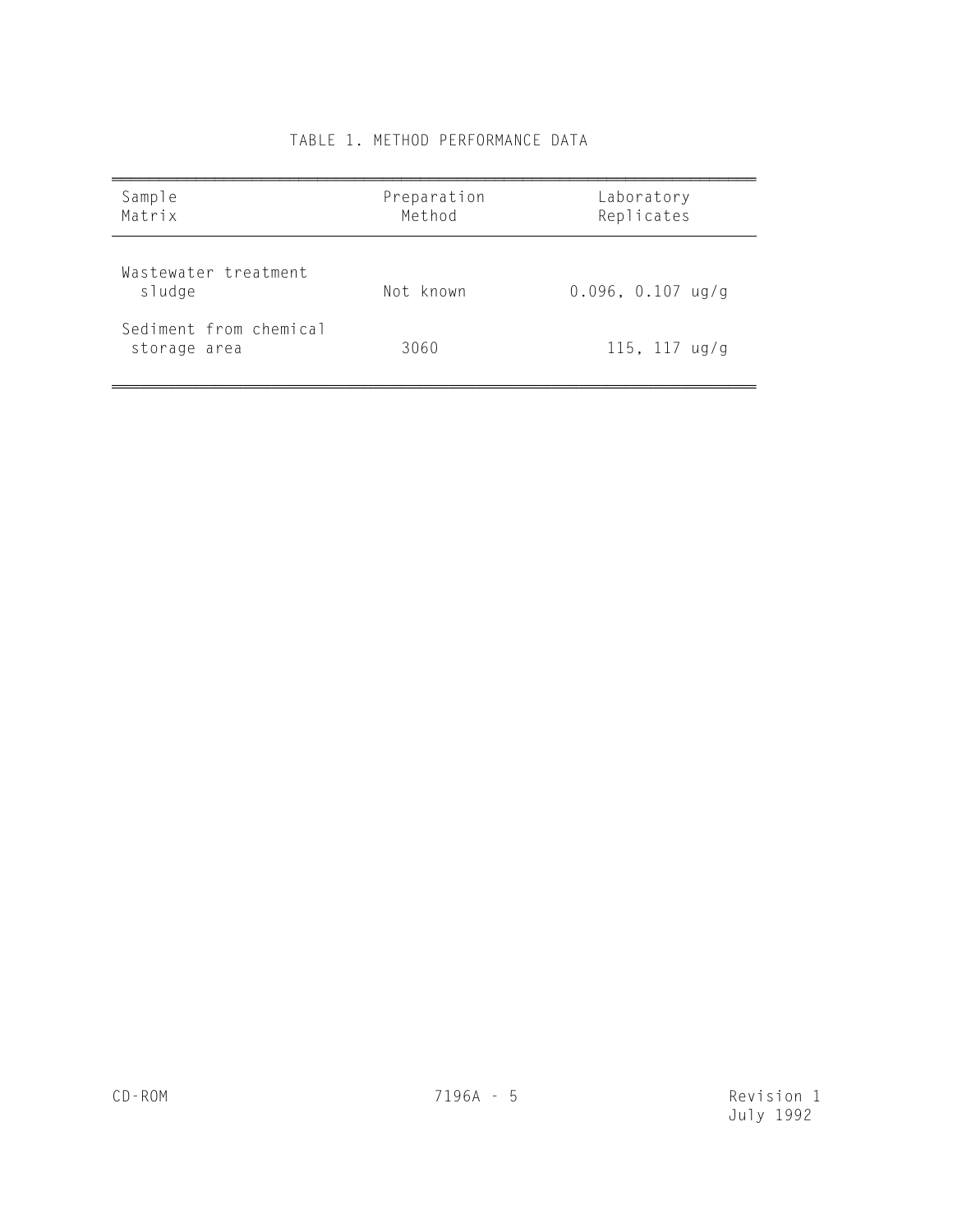| Sample<br>Matrix                       | Preparation<br>Method | Laboratory<br>Replicates |
|----------------------------------------|-----------------------|--------------------------|
| Wastewater treatment<br>sludge         | Not known             | $0.096, 0.107$ ug/g      |
| Sediment from chemical<br>storage area | 3060                  | 115, 117 $\frac{u}{g}$   |

# TABLE 1. METHOD PERFORMANCE DATA